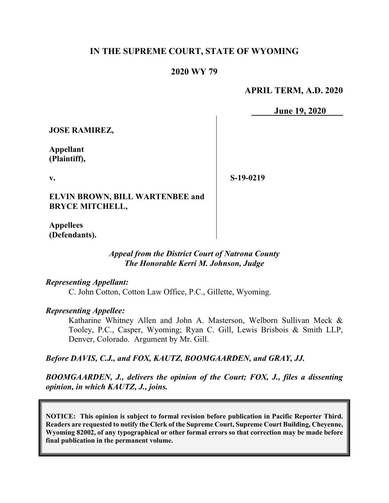# **IN THE SUPREME COURT, STATE OF WYOMING**

### **2020 WY 79**

**APRIL TERM, A.D. 2020**

**June 19, 2020**

**JOSE RAMIREZ,**

**Appellant (Plaintiff),**

**v.**

**S-19-0219**

**ELVIN BROWN, BILL WARTENBEE and BRYCE MITCHELL,**

**Appellees (Defendants).**

> *Appeal from the District Court of Natrona County The Honorable Kerri M. Johnson, Judge*

*Representing Appellant:*

C. John Cotton, Cotton Law Office, P.C., Gillette, Wyoming.

*Representing Appellee:*

Katharine Whitney Allen and John A. Masterson, Welborn Sullivan Meck & Tooley, P.C., Casper, Wyoming; Ryan C. Gill, Lewis Brisbois & Smith LLP, Denver, Colorado. Argument by Mr. Gill.

*Before DAVIS, C.J., and FOX, KAUTZ, BOOMGAARDEN, and GRAY, JJ.*

*BOOMGAARDEN, J., delivers the opinion of the Court; FOX, J., files a dissenting opinion, in which KAUTZ, J., joins.* 

**NOTICE: This opinion is subject to formal revision before publication in Pacific Reporter Third. Readers are requested to notify the Clerk of the Supreme Court, Supreme Court Building, Cheyenne, Wyoming 82002, of any typographical or other formal errors so that correction may be made before final publication in the permanent volume.**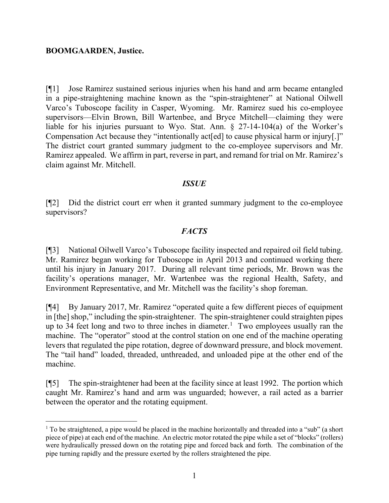#### **BOOMGAARDEN, Justice.**

[¶1] Jose Ramirez sustained serious injuries when his hand and arm became entangled in a pipe-straightening machine known as the "spin-straightener" at National Oilwell Varco's Tuboscope facility in Casper, Wyoming. Mr. Ramirez sued his co-employee supervisors—Elvin Brown, Bill Wartenbee, and Bryce Mitchell—claiming they were liable for his injuries pursuant to Wyo. Stat. Ann. § 27-14-104(a) of the Worker's Compensation Act because they "intentionally act[ed] to cause physical harm or injury[.]" The district court granted summary judgment to the co-employee supervisors and Mr. Ramirez appealed. We affirm in part, reverse in part, and remand for trial on Mr. Ramirez's claim against Mr. Mitchell.

#### *ISSUE*

[¶2] Did the district court err when it granted summary judgment to the co-employee supervisors?

#### *FACTS*

[¶3] National Oilwell Varco's Tuboscope facility inspected and repaired oil field tubing. Mr. Ramirez began working for Tuboscope in April 2013 and continued working there until his injury in January 2017. During all relevant time periods, Mr. Brown was the facility's operations manager, Mr. Wartenbee was the regional Health, Safety, and Environment Representative, and Mr. Mitchell was the facility's shop foreman.

[¶4] By January 2017, Mr. Ramirez "operated quite a few different pieces of equipment in [the] shop," including the spin-straightener. The spin-straightener could straighten pipes up to 34 feet long and two to three inches in diameter.<sup>[1](#page-1-0)</sup> Two employees usually ran the machine. The "operator" stood at the control station on one end of the machine operating levers that regulated the pipe rotation, degree of downward pressure, and block movement. The "tail hand" loaded, threaded, unthreaded, and unloaded pipe at the other end of the machine.

[¶5] The spin-straightener had been at the facility since at least 1992. The portion which caught Mr. Ramirez's hand and arm was unguarded; however, a rail acted as a barrier between the operator and the rotating equipment.

<span id="page-1-0"></span><sup>&</sup>lt;sup>1</sup> To be straightened, a pipe would be placed in the machine horizontally and threaded into a "sub" (a short piece of pipe) at each end of the machine. An electric motor rotated the pipe while a set of "blocks" (rollers) were hydraulically pressed down on the rotating pipe and forced back and forth. The combination of the pipe turning rapidly and the pressure exerted by the rollers straightened the pipe.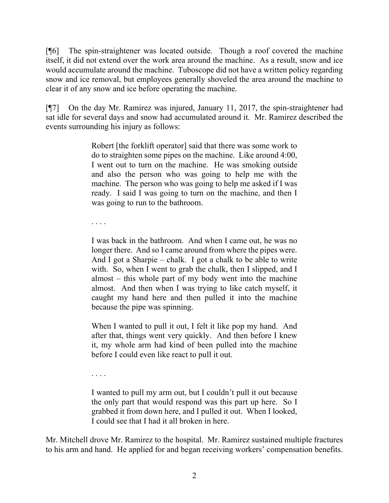[¶6] The spin-straightener was located outside. Though a roof covered the machine itself, it did not extend over the work area around the machine. As a result, snow and ice would accumulate around the machine. Tuboscope did not have a written policy regarding snow and ice removal, but employees generally shoveled the area around the machine to clear it of any snow and ice before operating the machine.

[¶7] On the day Mr. Ramirez was injured, January 11, 2017, the spin-straightener had sat idle for several days and snow had accumulated around it. Mr. Ramirez described the events surrounding his injury as follows:

> Robert [the forklift operator] said that there was some work to do to straighten some pipes on the machine. Like around 4:00, I went out to turn on the machine. He was smoking outside and also the person who was going to help me with the machine. The person who was going to help me asked if I was ready. I said I was going to turn on the machine, and then I was going to run to the bathroom.

. . . .

I was back in the bathroom. And when I came out, he was no longer there. And so I came around from where the pipes were. And I got a Sharpie – chalk. I got a chalk to be able to write with. So, when I went to grab the chalk, then I slipped, and I almost – this whole part of my body went into the machine almost. And then when I was trying to like catch myself, it caught my hand here and then pulled it into the machine because the pipe was spinning.

When I wanted to pull it out, I felt it like pop my hand. And after that, things went very quickly. And then before I knew it, my whole arm had kind of been pulled into the machine before I could even like react to pull it out.

. . . .

I wanted to pull my arm out, but I couldn't pull it out because the only part that would respond was this part up here. So I grabbed it from down here, and I pulled it out. When I looked, I could see that I had it all broken in here.

Mr. Mitchell drove Mr. Ramirez to the hospital. Mr. Ramirez sustained multiple fractures to his arm and hand. He applied for and began receiving workers' compensation benefits.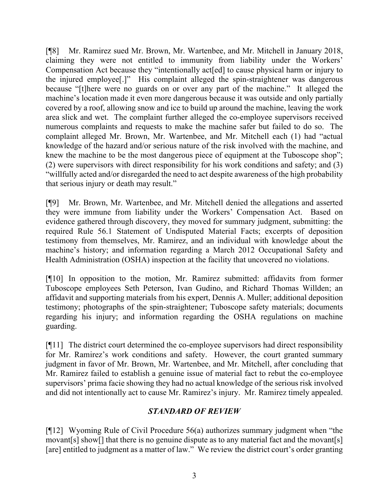[¶8] Mr. Ramirez sued Mr. Brown, Mr. Wartenbee, and Mr. Mitchell in January 2018, claiming they were not entitled to immunity from liability under the Workers' Compensation Act because they "intentionally act[ed] to cause physical harm or injury to the injured employee[.]" His complaint alleged the spin-straightener was dangerous because "[t]here were no guards on or over any part of the machine." It alleged the machine's location made it even more dangerous because it was outside and only partially covered by a roof, allowing snow and ice to build up around the machine, leaving the work area slick and wet. The complaint further alleged the co-employee supervisors received numerous complaints and requests to make the machine safer but failed to do so. The complaint alleged Mr. Brown, Mr. Wartenbee, and Mr. Mitchell each (1) had "actual knowledge of the hazard and/or serious nature of the risk involved with the machine, and knew the machine to be the most dangerous piece of equipment at the Tuboscope shop"; (2) were supervisors with direct responsibility for his work conditions and safety; and (3) "willfully acted and/or disregarded the need to act despite awareness of the high probability that serious injury or death may result."

[¶9] Mr. Brown, Mr. Wartenbee, and Mr. Mitchell denied the allegations and asserted they were immune from liability under the Workers' Compensation Act. Based on evidence gathered through discovery, they moved for summary judgment, submitting: the required Rule 56.1 Statement of Undisputed Material Facts; excerpts of deposition testimony from themselves, Mr. Ramirez, and an individual with knowledge about the machine's history; and information regarding a March 2012 Occupational Safety and Health Administration (OSHA) inspection at the facility that uncovered no violations.

[¶10] In opposition to the motion, Mr. Ramirez submitted: affidavits from former Tuboscope employees Seth Peterson, Ivan Gudino, and Richard Thomas Willden; an affidavit and supporting materials from his expert, Dennis A. Muller; additional deposition testimony; photographs of the spin-straightener; Tuboscope safety materials; documents regarding his injury; and information regarding the OSHA regulations on machine guarding.

[¶11] The district court determined the co-employee supervisors had direct responsibility for Mr. Ramirez's work conditions and safety. However, the court granted summary judgment in favor of Mr. Brown, Mr. Wartenbee, and Mr. Mitchell, after concluding that Mr. Ramirez failed to establish a genuine issue of material fact to rebut the co-employee supervisors' prima facie showing they had no actual knowledge of the serious risk involved and did not intentionally act to cause Mr. Ramirez's injury. Mr. Ramirez timely appealed.

# *STANDARD OF REVIEW*

[¶12] Wyoming Rule of Civil Procedure 56(a) authorizes summary judgment when "the movant[s] show[] that there is no genuine dispute as to any material fact and the movant[s] [are] entitled to judgment as a matter of law." We review the district court's order granting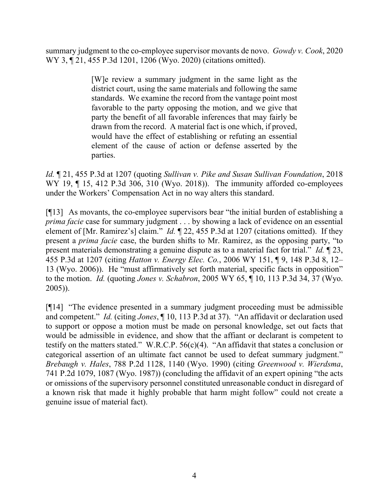summary judgment to the co-employee supervisor movants de novo. *Gowdy v. Cook*, 2020 WY 3, ¶ 21, 455 P.3d 1201, 1206 (Wyo. 2020) (citations omitted).

> [W]e review a summary judgment in the same light as the district court, using the same materials and following the same standards. We examine the record from the vantage point most favorable to the party opposing the motion, and we give that party the benefit of all favorable inferences that may fairly be drawn from the record. A material fact is one which, if proved, would have the effect of establishing or refuting an essential element of the cause of action or defense asserted by the parties.

*Id.* ¶ 21, 455 P.3d at 1207 (quoting *Sullivan v. Pike and Susan Sullivan Foundation*, 2018 WY 19, ¶ 15, 412 P.3d 306, 310 (Wyo. 2018)). The immunity afforded co-employees under the Workers' Compensation Act in no way alters this standard.

[¶13] As movants, the co-employee supervisors bear "the initial burden of establishing a *prima facie* case for summary judgment . . . by showing a lack of evidence on an essential element of [Mr. Ramirez's] claim." *Id.* ¶ 22, 455 P.3d at 1207 (citations omitted). If they present a *prima facie* case, the burden shifts to Mr. Ramirez, as the opposing party, "to present materials demonstrating a genuine dispute as to a material fact for trial." *Id.* ¶ 23, 455 P.3d at 1207 (citing *Hatton v. Energy Elec. Co.*, 2006 WY 151, ¶ 9, 148 P.3d 8, 12– 13 (Wyo. 2006)). He "must affirmatively set forth material, specific facts in opposition" to the motion. *Id.* (quoting *Jones v. Schabron*, 2005 WY 65, ¶ 10, 113 P.3d 34, 37 (Wyo. 2005)).

[¶14] "The evidence presented in a summary judgment proceeding must be admissible and competent." *Id.* (citing *Jones*, ¶ 10, 113 P.3d at 37). "An affidavit or declaration used to support or oppose a motion must be made on personal knowledge, set out facts that would be admissible in evidence, and show that the affiant or declarant is competent to testify on the matters stated." W.R.C.P. 56(c)(4). "An affidavit that states a conclusion or categorical assertion of an ultimate fact cannot be used to defeat summary judgment." *Brebaugh v. Hales*, 788 P.2d 1128, 1140 (Wyo. 1990) (citing *Greenwood v. Wierdsma*, 741 P.2d 1079, 1087 (Wyo. 1987)) (concluding the affidavit of an expert opining "the acts or omissions of the supervisory personnel constituted unreasonable conduct in disregard of a known risk that made it highly probable that harm might follow" could not create a genuine issue of material fact).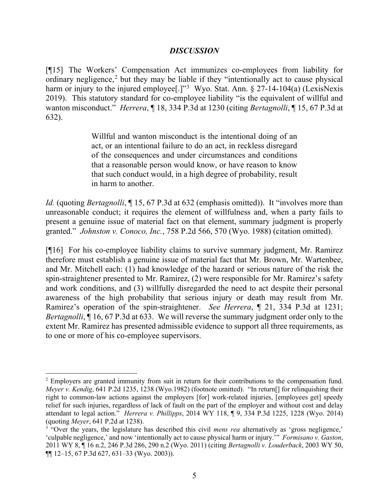#### *DISCUSSION*

[¶15] The Workers' Compensation Act immunizes co-employees from liability for ordinary negligence, [2](#page-5-0) but they may be liable if they "intentionally act to cause physical harm or injury to the injured employee[.]"<sup>[3](#page-5-1)</sup> Wyo. Stat. Ann.  $\S 27$ -14-104(a) (LexisNexis 2019). This statutory standard for co-employee liability "is the equivalent of willful and wanton misconduct." *Herrera*, ¶ 18, 334 P.3d at 1230 (citing *Bertagnolli*, ¶ 15, 67 P.3d at 632).

> Willful and wanton misconduct is the intentional doing of an act, or an intentional failure to do an act, in reckless disregard of the consequences and under circumstances and conditions that a reasonable person would know, or have reason to know that such conduct would, in a high degree of probability, result in harm to another.

*Id.* (quoting *Bertagnolli*, 15, 67 P.3d at 632 (emphasis omitted)). It "involves more than unreasonable conduct; it requires the element of willfulness and, when a party fails to present a genuine issue of material fact on that element, summary judgment is properly granted." *Johnston v. Conoco, Inc.*, 758 P.2d 566, 570 (Wyo. 1988) (citation omitted).

[¶16] For his co-employee liability claims to survive summary judgment, Mr. Ramirez therefore must establish a genuine issue of material fact that Mr. Brown, Mr. Wartenbee, and Mr. Mitchell each: (1) had knowledge of the hazard or serious nature of the risk the spin-straightener presented to Mr. Ramirez, (2) were responsible for Mr. Ramirez's safety and work conditions, and (3) willfully disregarded the need to act despite their personal awareness of the high probability that serious injury or death may result from Mr. Ramirez's operation of the spin-straightener. *See Herrera*, ¶ 21, 334 P.3d at 1231; *Bertagnolli*,  $\overline{1}$  16, 67 P.3d at 633. We will reverse the summary judgment order only to the extent Mr. Ramirez has presented admissible evidence to support all three requirements, as to one or more of his co-employee supervisors.

<span id="page-5-0"></span><sup>&</sup>lt;sup>2</sup> Employers are granted immunity from suit in return for their contributions to the compensation fund. *Meyer v. Kendig*, 641 P.2d 1235, 1238 (Wyo.1982) (footnote omitted). "In return[] for relinquishing their right to common-law actions against the employers [for] work-related injuries, [employees get] speedy relief for such injuries, regardless of lack of fault on the part of the employer and without cost and delay attendant to legal action." *Herrera v. Phillipps*, 2014 WY 118, ¶ 9, 334 P.3d 1225, 1228 (Wyo. 2014) (quoting *Meyer*, 641 P.2d at 1238).

<span id="page-5-1"></span><sup>&</sup>lt;sup>3</sup> "Over the years, the legislature has described this civil *mens rea* alternatively as 'gross negligence,' 'culpable negligence,' and now 'intentionally act to cause physical harm or injury.'" *Formisano v. Gaston*, 2011 WY 8, ¶ 16 n.2, 246 P.3d 286, 290 n.2 (Wyo. 2011) (citing *Bertagnolli v. Louderback*, 2003 WY 50, ¶¶ 12–15, 67 P.3d 627, 631–33 (Wyo. 2003)).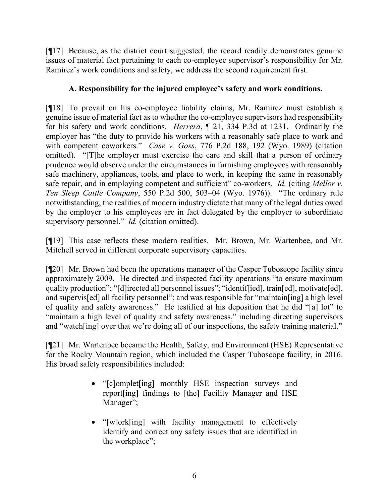[¶17] Because, as the district court suggested, the record readily demonstrates genuine issues of material fact pertaining to each co-employee supervisor's responsibility for Mr. Ramirez's work conditions and safety, we address the second requirement first.

# **A. Responsibility for the injured employee's safety and work conditions.**

[¶18] To prevail on his co-employee liability claims, Mr. Ramirez must establish a genuine issue of material fact as to whether the co-employee supervisors had responsibility for his safety and work conditions. *Herrera*, ¶ 21, 334 P.3d at 1231. Ordinarily the employer has "the duty to provide his workers with a reasonably safe place to work and with competent coworkers." *Case v. Goss*, 776 P.2d 188, 192 (Wyo. 1989) (citation omitted). "[T]he employer must exercise the care and skill that a person of ordinary prudence would observe under the circumstances in furnishing employees with reasonably safe machinery, appliances, tools, and place to work, in keeping the same in reasonably safe repair, and in employing competent and sufficient" co-workers. *Id.* (citing *Mellor v. Ten Sleep Cattle Company*, 550 P.2d 500, 503–04 (Wyo. 1976)). "The ordinary rule notwithstanding, the realities of modern industry dictate that many of the legal duties owed by the employer to his employees are in fact delegated by the employer to subordinate supervisory personnel." *Id.* (citation omitted).

[¶19] This case reflects these modern realities. Mr. Brown, Mr. Wartenbee, and Mr. Mitchell served in different corporate supervisory capacities.

[¶20] Mr. Brown had been the operations manager of the Casper Tuboscope facility since approximately 2009. He directed and inspected facility operations "to ensure maximum quality production"; "[d]irected all personnel issues"; "identif[ied], train[ed], motivate[ed], and supervis[ed] all facility personnel"; and was responsible for "maintain[ing] a high level of quality and safety awareness." He testified at his deposition that he did "[a] lot" to "maintain a high level of quality and safety awareness," including directing supervisors and "watch[ing] over that we're doing all of our inspections, the safety training material."

[¶21] Mr. Wartenbee became the Health, Safety, and Environment (HSE) Representative for the Rocky Mountain region, which included the Casper Tuboscope facility, in 2016. His broad safety responsibilities included:

- "[c]omplet[ing] monthly HSE inspection surveys and report[ing] findings to [the] Facility Manager and HSE Manager";
- "[w]ork[ing] with facility management to effectively identify and correct any safety issues that are identified in the workplace";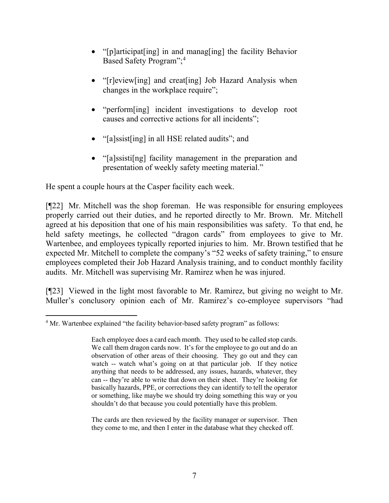- "[p]articipat[ing] in and manag[ing] the facility Behavior Based Safety Program"; [4](#page-7-0)
- "[r]eview[ing] and creat[ing] Job Hazard Analysis when changes in the workplace require";
- "perform[ing] incident investigations to develop root causes and corrective actions for all incidents";
- "[a]ssist[ing] in all HSE related audits"; and
- "[a]ssisti[ng] facility management in the preparation and presentation of weekly safety meeting material."

He spent a couple hours at the Casper facility each week.

[¶22] Mr. Mitchell was the shop foreman. He was responsible for ensuring employees properly carried out their duties, and he reported directly to Mr. Brown. Mr. Mitchell agreed at his deposition that one of his main responsibilities was safety. To that end, he held safety meetings, he collected "dragon cards" from employees to give to Mr. Wartenbee, and employees typically reported injuries to him. Mr. Brown testified that he expected Mr. Mitchell to complete the company's "52 weeks of safety training," to ensure employees completed their Job Hazard Analysis training, and to conduct monthly facility audits. Mr. Mitchell was supervising Mr. Ramirez when he was injured.

[¶23] Viewed in the light most favorable to Mr. Ramirez, but giving no weight to Mr. Muller's conclusory opinion each of Mr. Ramirez's co-employee supervisors "had

The cards are then reviewed by the facility manager or supervisor. Then they come to me, and then I enter in the database what they checked off.

<span id="page-7-0"></span><sup>&</sup>lt;sup>4</sup> Mr. Wartenbee explained "the facility behavior-based safety program" as follows:

Each employee does a card each month. They used to be called stop cards. We call them dragon cards now. It's for the employee to go out and do an observation of other areas of their choosing. They go out and they can watch -- watch what's going on at that particular job. If they notice anything that needs to be addressed, any issues, hazards, whatever, they can -- they're able to write that down on their sheet. They're looking for basically hazards, PPE, or corrections they can identify to tell the operator or something, like maybe we should try doing something this way or you shouldn't do that because you could potentially have this problem.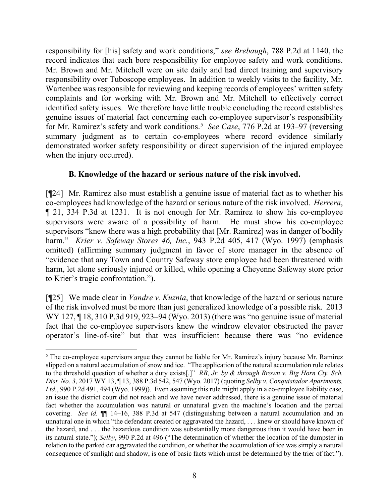responsibility for [his] safety and work conditions," *see Brebaugh*, 788 P.2d at 1140, the record indicates that each bore responsibility for employee safety and work conditions. Mr. Brown and Mr. Mitchell were on site daily and had direct training and supervisory responsibility over Tuboscope employees. In addition to weekly visits to the facility, Mr. Wartenbee was responsible for reviewing and keeping records of employees' written safety complaints and for working with Mr. Brown and Mr. Mitchell to effectively correct identified safety issues. We therefore have little trouble concluding the record establishes genuine issues of material fact concerning each co-employee supervisor's responsibility for Mr. Ramirez's safety and work conditions. [5](#page-8-0) *See Case*, 776 P.2d at 193–97 (reversing summary judgment as to certain co-employees where record evidence similarly demonstrated worker safety responsibility or direct supervision of the injured employee when the injury occurred).

# **B. Knowledge of the hazard or serious nature of the risk involved.**

[¶24] Mr. Ramirez also must establish a genuine issue of material fact as to whether his co-employees had knowledge of the hazard or serious nature of the risk involved. *Herrera*, ¶ 21, 334 P.3d at 1231. It is not enough for Mr. Ramirez to show his co-employee supervisors were aware of a possibility of harm. He must show his co-employee supervisors "knew there was a high probability that [Mr. Ramirez] was in danger of bodily harm." *Krier v. Safeway Stores 46, Inc.*, 943 P.2d 405, 417 (Wyo. 1997) (emphasis omitted) (affirming summary judgment in favor of store manager in the absence of "evidence that any Town and Country Safeway store employee had been threatened with harm, let alone seriously injured or killed, while opening a Cheyenne Safeway store prior to Krier's tragic confrontation.").

[¶25] We made clear in *Vandre v. Kuznia*, that knowledge of the hazard or serious nature of the risk involved must be more than just generalized knowledge of a possible risk. 2013 WY 127, ¶ 18, 310 P.3d 919, 923–94 (Wyo. 2013) (there was "no genuine issue of material fact that the co-employee supervisors knew the windrow elevator obstructed the paver operator's line-of-site" but that was insufficient because there was "no evidence

<span id="page-8-0"></span><sup>&</sup>lt;sup>5</sup> The co-employee supervisors argue they cannot be liable for Mr. Ramirez's injury because Mr. Ramirez slipped on a natural accumulation of snow and ice. "The application of the natural accumulation rule relates to the threshold question of whether a duty exists[.]" *RB, Jr. by & through Brown v. Big Horn Cty. Sch. Dist. No. 3*, 2017 WY 13, ¶ 13, 388 P.3d 542, 547 (Wyo. 2017) (quoting *Selby v. Conquistador Apartments, Ltd.*, 990 P.2d 491, 494 (Wyo. 1999)). Even assuming this rule might apply in a co-employee liability case, an issue the district court did not reach and we have never addressed, there is a genuine issue of material fact whether the accumulation was natural or unnatural given the machine's location and the partial covering. *See id.* ¶¶ 14–16, 388 P.3d at 547 (distinguishing between a natural accumulation and an unnatural one in which "the defendant created or aggravated the hazard, . . . knew or should have known of the hazard, and . . . the hazardous condition was substantially more dangerous than it would have been in its natural state."); *Selby*, 990 P.2d at 496 ("The determination of whether the location of the dumpster in relation to the parked car aggravated the condition, or whether the accumulation of ice was simply a natural consequence of sunlight and shadow, is one of basic facts which must be determined by the trier of fact.").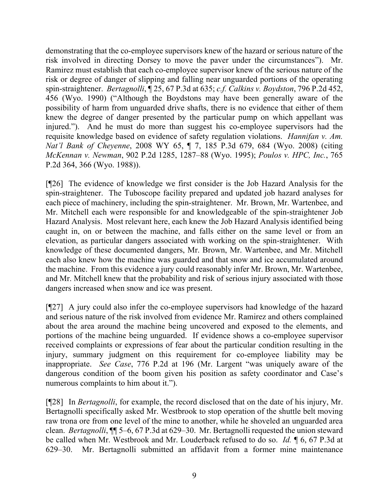demonstrating that the co-employee supervisors knew of the hazard or serious nature of the risk involved in directing Dorsey to move the paver under the circumstances"). Mr. Ramirez must establish that each co-employee supervisor knew of the serious nature of the risk or degree of danger of slipping and falling near unguarded portions of the operating spin-straightener. *Bertagnolli*, ¶ 25, 67 P.3d at 635; *c.f. Calkins v. Boydston*, 796 P.2d 452, 456 (Wyo. 1990) ("Although the Boydstons may have been generally aware of the possibility of harm from unguarded drive shafts, there is no evidence that either of them knew the degree of danger presented by the particular pump on which appellant was injured."). And he must do more than suggest his co-employee supervisors had the requisite knowledge based on evidence of safety regulation violations. *Hannifan v. Am. Nat'l Bank of Cheyenne*, 2008 WY 65, ¶ 7, 185 P.3d 679, 684 (Wyo. 2008) (citing *McKennan v. Newman*, 902 P.2d 1285, 1287–88 (Wyo. 1995); *Poulos v. HPC, Inc.*, 765 P.2d 364, 366 (Wyo. 1988)).

[¶26] The evidence of knowledge we first consider is the Job Hazard Analysis for the spin-straightener. The Tuboscope facility prepared and updated job hazard analyses for each piece of machinery, including the spin-straightener. Mr. Brown, Mr. Wartenbee, and Mr. Mitchell each were responsible for and knowledgeable of the spin-straightener Job Hazard Analysis. Most relevant here, each knew the Job Hazard Analysis identified being caught in, on or between the machine, and falls either on the same level or from an elevation, as particular dangers associated with working on the spin-straightener. With knowledge of these documented dangers, Mr. Brown, Mr. Wartenbee, and Mr. Mitchell each also knew how the machine was guarded and that snow and ice accumulated around the machine. From this evidence a jury could reasonably infer Mr. Brown, Mr. Wartenbee, and Mr. Mitchell knew that the probability and risk of serious injury associated with those dangers increased when snow and ice was present.

[¶27] A jury could also infer the co-employee supervisors had knowledge of the hazard and serious nature of the risk involved from evidence Mr. Ramirez and others complained about the area around the machine being uncovered and exposed to the elements, and portions of the machine being unguarded. If evidence shows a co-employee supervisor received complaints or expressions of fear about the particular condition resulting in the injury, summary judgment on this requirement for co-employee liability may be inappropriate. *See Case*, 776 P.2d at 196 (Mr. Largent "was uniquely aware of the dangerous condition of the boom given his position as safety coordinator and Case's numerous complaints to him about it.").

[¶28] In *Bertagnolli*, for example, the record disclosed that on the date of his injury, Mr. Bertagnolli specifically asked Mr. Westbrook to stop operation of the shuttle belt moving raw trona ore from one level of the mine to another, while he shoveled an unguarded area clean. *Bertagnolli*, ¶¶ 5–6, 67 P.3d at 629–30. Mr. Bertagnolli requested the union steward be called when Mr. Westbrook and Mr. Louderback refused to do so. *Id.* ¶ 6, 67 P.3d at 629–30. Mr. Bertagnolli submitted an affidavit from a former mine maintenance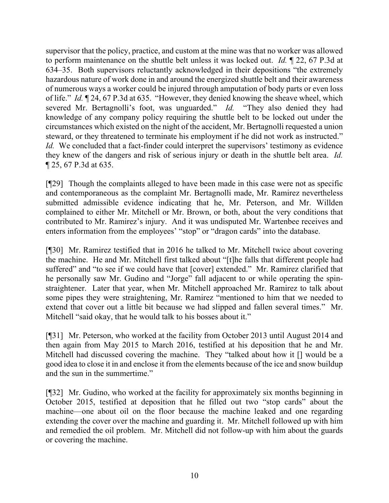supervisor that the policy, practice, and custom at the mine was that no worker was allowed to perform maintenance on the shuttle belt unless it was locked out. *Id.* ¶ 22, 67 P.3d at 634–35. Both supervisors reluctantly acknowledged in their depositions "the extremely hazardous nature of work done in and around the energized shuttle belt and their awareness of numerous ways a worker could be injured through amputation of body parts or even loss of life." *Id.* ¶ 24, 67 P.3d at 635. "However, they denied knowing the sheave wheel, which severed Mr. Bertagnolli's foot, was unguarded." *Id.* "They also denied they had knowledge of any company policy requiring the shuttle belt to be locked out under the circumstances which existed on the night of the accident, Mr. Bertagnolli requested a union steward, or they threatened to terminate his employment if he did not work as instructed." *Id.* We concluded that a fact-finder could interpret the supervisors' testimony as evidence they knew of the dangers and risk of serious injury or death in the shuttle belt area. *Id.*  ¶ 25, 67 P.3d at 635.

[¶29] Though the complaints alleged to have been made in this case were not as specific and contemporaneous as the complaint Mr. Bertagnolli made, Mr. Ramirez nevertheless submitted admissible evidence indicating that he, Mr. Peterson, and Mr. Willden complained to either Mr. Mitchell or Mr. Brown, or both, about the very conditions that contributed to Mr. Ramirez's injury. And it was undisputed Mr. Wartenbee receives and enters information from the employees' "stop" or "dragon cards" into the database.

[¶30] Mr. Ramirez testified that in 2016 he talked to Mr. Mitchell twice about covering the machine. He and Mr. Mitchell first talked about "[t]he falls that different people had suffered" and "to see if we could have that [cover] extended." Mr. Ramirez clarified that he personally saw Mr. Gudino and "Jorge" fall adjacent to or while operating the spinstraightener. Later that year, when Mr. Mitchell approached Mr. Ramirez to talk about some pipes they were straightening, Mr. Ramirez "mentioned to him that we needed to extend that cover out a little bit because we had slipped and fallen several times." Mr. Mitchell "said okay, that he would talk to his bosses about it."

[¶31] Mr. Peterson, who worked at the facility from October 2013 until August 2014 and then again from May 2015 to March 2016, testified at his deposition that he and Mr. Mitchell had discussed covering the machine. They "talked about how it [] would be a good idea to close it in and enclose it from the elements because of the ice and snow buildup and the sun in the summertime."

[¶32] Mr. Gudino, who worked at the facility for approximately six months beginning in October 2015, testified at deposition that he filled out two "stop cards" about the machine—one about oil on the floor because the machine leaked and one regarding extending the cover over the machine and guarding it. Mr. Mitchell followed up with him and remedied the oil problem. Mr. Mitchell did not follow-up with him about the guards or covering the machine.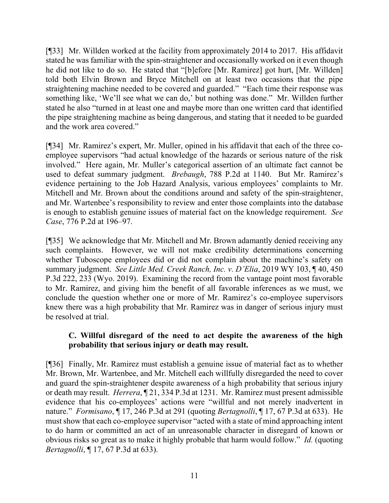[¶33] Mr. Willden worked at the facility from approximately 2014 to 2017. His affidavit stated he was familiar with the spin-straightener and occasionally worked on it even though he did not like to do so. He stated that "[b]efore [Mr. Ramirez] got hurt, [Mr. Willden] told both Elvin Brown and Bryce Mitchell on at least two occasions that the pipe straightening machine needed to be covered and guarded." "Each time their response was something like, 'We'll see what we can do,' but nothing was done." Mr. Willden further stated he also "turned in at least one and maybe more than one written card that identified the pipe straightening machine as being dangerous, and stating that it needed to be guarded and the work area covered."

[¶34] Mr. Ramirez's expert, Mr. Muller, opined in his affidavit that each of the three coemployee supervisors "had actual knowledge of the hazards or serious nature of the risk involved." Here again, Mr. Muller's categorical assertion of an ultimate fact cannot be used to defeat summary judgment. *Brebaugh*, 788 P.2d at 1140. But Mr. Ramirez's evidence pertaining to the Job Hazard Analysis, various employees' complaints to Mr. Mitchell and Mr. Brown about the conditions around and safety of the spin-straightener, and Mr. Wartenbee's responsibility to review and enter those complaints into the database is enough to establish genuine issues of material fact on the knowledge requirement. *See Case*, 776 P.2d at 196–97.

[¶35] We acknowledge that Mr. Mitchell and Mr. Brown adamantly denied receiving any such complaints. However, we will not make credibility determinations concerning whether Tuboscope employees did or did not complain about the machine's safety on summary judgment. *See Little Med. Creek Ranch, Inc. v. D'Elia*, 2019 WY 103, ¶ 40, 450 P.3d 222, 233 (Wyo. 2019). Examining the record from the vantage point most favorable to Mr. Ramirez, and giving him the benefit of all favorable inferences as we must, we conclude the question whether one or more of Mr. Ramirez's co-employee supervisors knew there was a high probability that Mr. Ramirez was in danger of serious injury must be resolved at trial.

# **C. Willful disregard of the need to act despite the awareness of the high probability that serious injury or death may result.**

[¶36] Finally, Mr. Ramirez must establish a genuine issue of material fact as to whether Mr. Brown, Mr. Wartenbee, and Mr. Mitchell each willfully disregarded the need to cover and guard the spin-straightener despite awareness of a high probability that serious injury or death may result. *Herrera*, ¶ 21, 334 P.3d at 1231. Mr. Ramirez must present admissible evidence that his co-employees' actions were "willful and not merely inadvertent in nature." *Formisano*, ¶ 17, 246 P.3d at 291 (quoting *Bertagnolli*, ¶ 17, 67 P.3d at 633). He must show that each co-employee supervisor "acted with a state of mind approaching intent to do harm or committed an act of an unreasonable character in disregard of known or obvious risks so great as to make it highly probable that harm would follow." *Id.* (quoting *Bertagnolli*, ¶ 17, 67 P.3d at 633).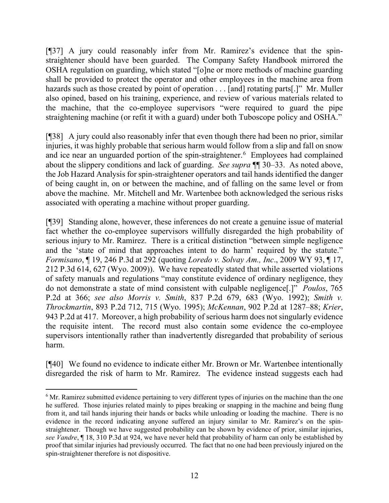[¶37] A jury could reasonably infer from Mr. Ramirez's evidence that the spinstraightener should have been guarded. The Company Safety Handbook mirrored the OSHA regulation on guarding, which stated "[o]ne or more methods of machine guarding shall be provided to protect the operator and other employees in the machine area from hazards such as those created by point of operation . . . [and] rotating parts[.]" Mr. Muller also opined, based on his training, experience, and review of various materials related to the machine, that the co-employee supervisors "were required to guard the pipe straightening machine (or refit it with a guard) under both Tuboscope policy and OSHA."

[¶38] A jury could also reasonably infer that even though there had been no prior, similar injuries, it was highly probable that serious harm would follow from a slip and fall on snow and ice near an unguarded portion of the spin-straightener. [6](#page-12-0) Employees had complained about the slippery conditions and lack of guarding. *See supra* ¶¶ 30–33. As noted above, the Job Hazard Analysis for spin-straightener operators and tail hands identified the danger of being caught in, on or between the machine, and of falling on the same level or from above the machine. Mr. Mitchell and Mr. Wartenbee both acknowledged the serious risks associated with operating a machine without proper guarding.

[¶39] Standing alone, however, these inferences do not create a genuine issue of material fact whether the co-employee supervisors willfully disregarded the high probability of serious injury to Mr. Ramirez. There is a critical distinction "between simple negligence and the 'state of mind that approaches intent to do harm' required by the statute." *Formisano*, ¶ 19, 246 P.3d at 292 (quoting *Loredo v. Solvay Am., Inc*., 2009 WY 93, ¶ 17, 212 P.3d 614, 627 (Wyo. 2009)). We have repeatedly stated that while asserted violations of safety manuals and regulations "may constitute evidence of ordinary negligence, they do not demonstrate a state of mind consistent with culpable negligence[.]" *Poulos*, 765 P.2d at 366; *see also Morris v. Smith*, 837 P.2d 679, 683 (Wyo. 1992); *Smith v. Throckmartin*, 893 P.2d 712, 715 (Wyo. 1995); *McKennan*, 902 P.2d at 1287–88; *Krier*, 943 P.2d at 417. Moreover, a high probability of serious harm does not singularly evidence the requisite intent. The record must also contain some evidence the co-employee supervisors intentionally rather than inadvertently disregarded that probability of serious harm.

[¶40] We found no evidence to indicate either Mr. Brown or Mr. Wartenbee intentionally disregarded the risk of harm to Mr. Ramirez. The evidence instead suggests each had

<span id="page-12-0"></span><sup>&</sup>lt;sup>6</sup> Mr. Ramirez submitted evidence pertaining to very different types of injuries on the machine than the one he suffered. Those injuries related mainly to pipes breaking or snapping in the machine and being flung from it, and tail hands injuring their hands or backs while unloading or loading the machine. There is no evidence in the record indicating anyone suffered an injury similar to Mr. Ramirez's on the spinstraightener. Though we have suggested probability can be shown by evidence of prior, similar injuries, *see Vandre*, ¶ 18, 310 P.3d at 924, we have never held that probability of harm can only be established by proof that similar injuries had previously occurred. The fact that no one had been previously injured on the spin-straightener therefore is not dispositive.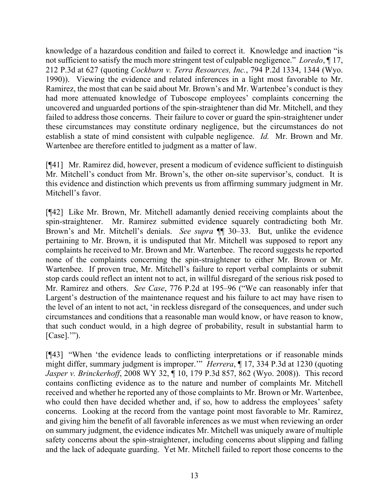knowledge of a hazardous condition and failed to correct it. Knowledge and inaction "is not sufficient to satisfy the much more stringent test of culpable negligence." *Loredo*, ¶ 17, 212 P.3d at 627 (quoting *Cockburn v. Terra Resources, Inc.*, 794 P.2d 1334, 1344 (Wyo. 1990)). Viewing the evidence and related inferences in a light most favorable to Mr. Ramirez, the most that can be said about Mr. Brown's and Mr. Wartenbee's conduct is they had more attenuated knowledge of Tuboscope employees' complaints concerning the uncovered and unguarded portions of the spin-straightener than did Mr. Mitchell, and they failed to address those concerns. Their failure to cover or guard the spin-straightener under these circumstances may constitute ordinary negligence, but the circumstances do not establish a state of mind consistent with culpable negligence. *Id.* Mr. Brown and Mr. Wartenbee are therefore entitled to judgment as a matter of law.

[¶41] Mr. Ramirez did, however, present a modicum of evidence sufficient to distinguish Mr. Mitchell's conduct from Mr. Brown's, the other on-site supervisor's, conduct. It is this evidence and distinction which prevents us from affirming summary judgment in Mr. Mitchell's favor.

[¶42] Like Mr. Brown, Mr. Mitchell adamantly denied receiving complaints about the spin-straightener. Mr. Ramirez submitted evidence squarely contradicting both Mr. Brown's and Mr. Mitchell's denials. *See supra* ¶¶ 30–33. But, unlike the evidence pertaining to Mr. Brown, it is undisputed that Mr. Mitchell was supposed to report any complaints he received to Mr. Brown and Mr. Wartenbee. The record suggests he reported none of the complaints concerning the spin-straightener to either Mr. Brown or Mr. Wartenbee. If proven true, Mr. Mitchell's failure to report verbal complaints or submit stop cards could reflect an intent not to act, in willful disregard of the serious risk posed to Mr. Ramirez and others. *See Case*, 776 P.2d at 195–96 ("We can reasonably infer that Largent's destruction of the maintenance request and his failure to act may have risen to the level of an intent to not act, 'in reckless disregard of the consequences, and under such circumstances and conditions that a reasonable man would know, or have reason to know, that such conduct would, in a high degree of probability, result in substantial harm to [Case]."").

[¶43] "When 'the evidence leads to conflicting interpretations or if reasonable minds might differ, summary judgment is improper.'" *Herrera*, ¶ 17, 334 P.3d at 1230 (quoting *Jasper v. Brinckerhoff*, 2008 WY 32, ¶ 10, 179 P.3d 857, 862 (Wyo. 2008)). This record contains conflicting evidence as to the nature and number of complaints Mr. Mitchell received and whether he reported any of those complaints to Mr. Brown or Mr. Wartenbee, who could then have decided whether and, if so, how to address the employees' safety concerns. Looking at the record from the vantage point most favorable to Mr. Ramirez, and giving him the benefit of all favorable inferences as we must when reviewing an order on summary judgment, the evidence indicates Mr. Mitchell was uniquely aware of multiple safety concerns about the spin-straightener, including concerns about slipping and falling and the lack of adequate guarding. Yet Mr. Mitchell failed to report those concerns to the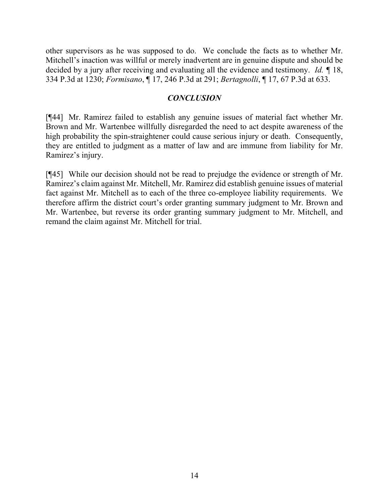other supervisors as he was supposed to do. We conclude the facts as to whether Mr. Mitchell's inaction was willful or merely inadvertent are in genuine dispute and should be decided by a jury after receiving and evaluating all the evidence and testimony. *Id. ¶* 18, 334 P.3d at 1230; *Formisano*, ¶ 17, 246 P.3d at 291; *Bertagnolli*, ¶ 17, 67 P.3d at 633.

### *CONCLUSION*

[¶44] Mr. Ramirez failed to establish any genuine issues of material fact whether Mr. Brown and Mr. Wartenbee willfully disregarded the need to act despite awareness of the high probability the spin-straightener could cause serious injury or death. Consequently, they are entitled to judgment as a matter of law and are immune from liability for Mr. Ramirez's injury.

[¶45] While our decision should not be read to prejudge the evidence or strength of Mr. Ramirez's claim against Mr. Mitchell, Mr. Ramirez did establish genuine issues of material fact against Mr. Mitchell as to each of the three co-employee liability requirements. We therefore affirm the district court's order granting summary judgment to Mr. Brown and Mr. Wartenbee, but reverse its order granting summary judgment to Mr. Mitchell, and remand the claim against Mr. Mitchell for trial.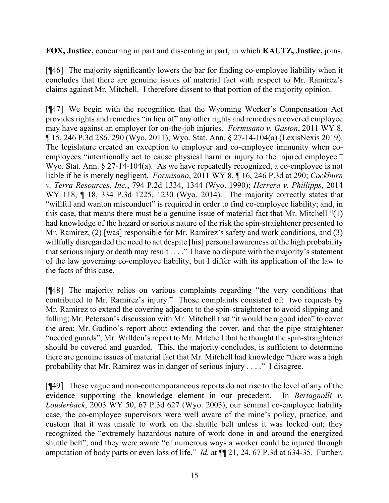**FOX, Justice,** concurring in part and dissenting in part, in which **KAUTZ, Justice,** joins.

[¶46] The majority significantly lowers the bar for finding co-employee liability when it concludes that there are genuine issues of material fact with respect to Mr. Ramirez's claims against Mr. Mitchell. I therefore dissent to that portion of the majority opinion.

[¶47] We begin with the recognition that the Wyoming Worker's Compensation Act provides rights and remedies "in lieu of" any other rights and remedies a covered employee may have against an employer for on-the-job injuries. *Formisano v. Gaston*, 2011 WY 8, ¶ 15, 246 P.3d 286, 290 (Wyo. 2011); Wyo. Stat. Ann. § 27-14-104(a) (LexisNexis 2019). The legislature created an exception to employer and co-employee immunity when coemployees "intentionally act to cause physical harm or injury to the injured employee." Wyo. Stat. Ann. § 27-14-104(a). As we have repeatedly recognized, a co-employee is not liable if he is merely negligent. *Formisano*, 2011 WY 8, ¶ 16, 246 P.3d at 290; *Cockburn v. Terra Resources, Inc.*, 794 P.2d 1334, 1344 (Wyo. 1990); *Herrera v. Phillipps*, 2014 WY 118, ¶ 18, 334 P.3d 1225, 1230 (Wyo. 2014). The majority correctly states that "willful and wanton misconduct" is required in order to find co-employee liability; and, in this case, that means there must be a genuine issue of material fact that Mr. Mitchell "(1) had knowledge of the hazard or serious nature of the risk the spin-straightener presented to Mr. Ramirez, (2) [was] responsible for Mr. Ramirez's safety and work conditions, and (3) willfully disregarded the need to act despite [his] personal awareness of the high probability that serious injury or death may result . . . ." I have no dispute with the majority's statement of the law governing co-employee liability, but I differ with its application of the law to the facts of this case.

[¶48] The majority relies on various complaints regarding "the very conditions that contributed to Mr. Ramirez's injury." Those complaints consisted of: two requests by Mr. Ramirez to extend the covering adjacent to the spin-straightener to avoid slipping and falling; Mr. Peterson's discussion with Mr. Mitchell that "it would be a good idea" to cover the area; Mr. Gudino's report about extending the cover, and that the pipe straightener "needed guards"; Mr. Willden's report to Mr. Mitchell that he thought the spin-straightener should be covered and guarded. This, the majority concludes, is sufficient to determine there are genuine issues of material fact that Mr. Mitchell had knowledge "there was a high probability that Mr. Ramirez was in danger of serious injury . . . ." I disagree.

[¶49] These vague and non-contemporaneous reports do not rise to the level of any of the evidence supporting the knowledge element in our precedent. In *Bertagnolli v. Louderback*, 2003 WY 50, 67 P.3d 627 (Wyo. 2003), our seminal co-employee liability case, the co-employee supervisors were well aware of the mine's policy, practice, and custom that it was unsafe to work on the shuttle belt unless it was locked out; they recognized the "extremely hazardous nature of work done in and around the energized shuttle belt"; and they were aware "of numerous ways a worker could be injured through amputation of body parts or even loss of life." *Id.* at ¶¶ 21, 24, 67 P.3d at 634-35. Further,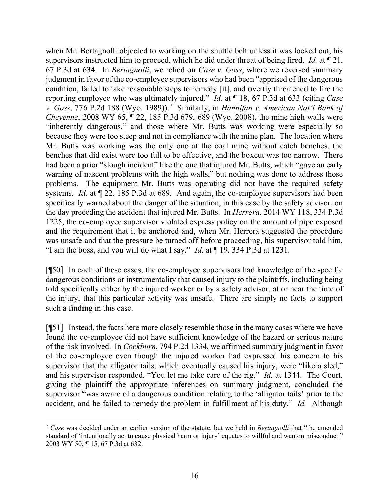when Mr. Bertagnolli objected to working on the shuttle belt unless it was locked out, his supervisors instructed him to proceed, which he did under threat of being fired. *Id.* at ¶ 21, 67 P.3d at 634. In *Bertagnolli*, we relied on *Case v. Goss*, where we reversed summary judgment in favor of the co-employee supervisors who had been "apprised of the dangerous condition, failed to take reasonable steps to remedy [it], and overtly threatened to fire the reporting employee who was ultimately injured." *Id.* at ¶ 18, 67 P.3d at 633 (citing *Case v. Goss*, 776 P.2d 188 (Wyo. 1989)).[7](#page-16-0) Similarly, in *Hannifan v. American Nat'l Bank of Cheyenne*, 2008 WY 65, ¶ 22, 185 P.3d 679, 689 (Wyo. 2008), the mine high walls were "inherently dangerous," and those where Mr. Butts was working were especially so because they were too steep and not in compliance with the mine plan. The location where Mr. Butts was working was the only one at the coal mine without catch benches, the benches that did exist were too full to be effective, and the boxcut was too narrow. There had been a prior "slough incident" like the one that injured Mr. Butts, which "gave an early warning of nascent problems with the high walls," but nothing was done to address those problems. The equipment Mr. Butts was operating did not have the required safety systems. *Id.* at  $\sqrt{22}$ , 185 P.3d at 689. And again, the co-employee supervisors had been specifically warned about the danger of the situation, in this case by the safety advisor, on the day preceding the accident that injured Mr. Butts. In *Herrera*, 2014 WY 118, 334 P.3d 1225, the co-employee supervisor violated express policy on the amount of pipe exposed and the requirement that it be anchored and, when Mr. Herrera suggested the procedure was unsafe and that the pressure be turned off before proceeding, his supervisor told him, "I am the boss, and you will do what I say." *Id.* at ¶ 19, 334 P.3d at 1231.

[¶50] In each of these cases, the co-employee supervisors had knowledge of the specific dangerous conditions or instrumentality that caused injury to the plaintiffs, including being told specifically either by the injured worker or by a safety advisor, at or near the time of the injury, that this particular activity was unsafe. There are simply no facts to support such a finding in this case.

[¶51] Instead, the facts here more closely resemble those in the many cases where we have found the co-employee did not have sufficient knowledge of the hazard or serious nature of the risk involved. In *Cockburn*, 794 P.2d 1334, we affirmed summary judgment in favor of the co-employee even though the injured worker had expressed his concern to his supervisor that the alligator tails, which eventually caused his injury, were "like a sled," and his supervisor responded, "You let me take care of the rig." *Id.* at 1344. The Court, giving the plaintiff the appropriate inferences on summary judgment, concluded the supervisor "was aware of a dangerous condition relating to the 'alligator tails' prior to the accident, and he failed to remedy the problem in fulfillment of his duty." *Id.* Although

<span id="page-16-0"></span><sup>7</sup> *Case* was decided under an earlier version of the statute, but we held in *Bertagnolli* that "the amended standard of 'intentionally act to cause physical harm or injury' equates to willful and wanton misconduct." 2003 WY 50, ¶ 15, 67 P.3d at 632.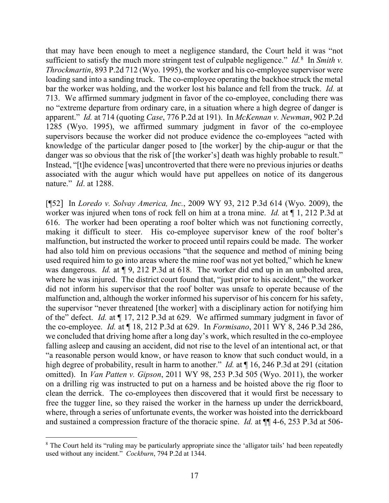that may have been enough to meet a negligence standard, the Court held it was "not sufficient to satisfy the much more stringent test of culpable negligence." *Id.*<sup>[8](#page-17-0)</sup> In *Smith v. Throckmartin*, 893 P.2d 712 (Wyo. 1995), the worker and his co-employee supervisor were loading sand into a sanding truck. The co-employee operating the backhoe struck the metal bar the worker was holding, and the worker lost his balance and fell from the truck. *Id.* at 713. We affirmed summary judgment in favor of the co-employee, concluding there was no "extreme departure from ordinary care, in a situation where a high degree of danger is apparent." *Id.* at 714 (quoting *Case*, 776 P.2d at 191). In *McKennan v. Newman*, 902 P.2d 1285 (Wyo. 1995), we affirmed summary judgment in favor of the co-employee supervisors because the worker did not produce evidence the co-employees "acted with knowledge of the particular danger posed to [the worker] by the chip-augur or that the danger was so obvious that the risk of [the worker's] death was highly probable to result." Instead, "[t]he evidence [was] uncontroverted that there were no previous injuries or deaths associated with the augur which would have put appellees on notice of its dangerous nature." *Id*. at 1288.

[¶52] In *Loredo v. Solvay America, Inc.*, 2009 WY 93, 212 P.3d 614 (Wyo. 2009), the worker was injured when tons of rock fell on him at a trona mine. *Id.* at ¶ 1, 212 P.3d at 616. The worker had been operating a roof bolter which was not functioning correctly, making it difficult to steer. His co-employee supervisor knew of the roof bolter's malfunction, but instructed the worker to proceed until repairs could be made. The worker had also told him on previous occasions "that the sequence and method of mining being used required him to go into areas where the mine roof was not yet bolted," which he knew was dangerous. *Id.* at  $\llbracket 9, 212 \text{ P.3d}$  at 618. The worker did end up in an unbolted area, where he was injured. The district court found that, "just prior to his accident," the worker did not inform his supervisor that the roof bolter was unsafe to operate because of the malfunction and, although the worker informed his supervisor of his concern for his safety, the supervisor "never threatened [the worker] with a disciplinary action for notifying him of the" defect. *Id.* at ¶ 17, 212 P.3d at 629. We affirmed summary judgment in favor of the co-employee. *Id.* at ¶ 18, 212 P.3d at 629. In *Formisano*, 2011 WY 8, 246 P.3d 286, we concluded that driving home after a long day's work, which resulted in the co-employee falling asleep and causing an accident, did not rise to the level of an intentional act, or that "a reasonable person would know, or have reason to know that such conduct would, in a high degree of probability, result in harm to another." *Id.* at ¶ 16, 246 P.3d at 291 (citation omitted). In *Van Patten v. Gipson*, 2011 WY 98, 253 P.3d 505 (Wyo. 2011), the worker on a drilling rig was instructed to put on a harness and be hoisted above the rig floor to clean the derrick. The co-employees then discovered that it would first be necessary to free the tugger line, so they raised the worker in the harness up under the derrickboard, where, through a series of unfortunate events, the worker was hoisted into the derrickboard and sustained a compression fracture of the thoracic spine. *Id.* at ¶¶ 4-6, 253 P.3d at 506-

<span id="page-17-0"></span><sup>&</sup>lt;sup>8</sup> The Court held its "ruling may be particularly appropriate since the 'alligator tails' had been repeatedly used without any incident." *Cockburn*, 794 P.2d at 1344.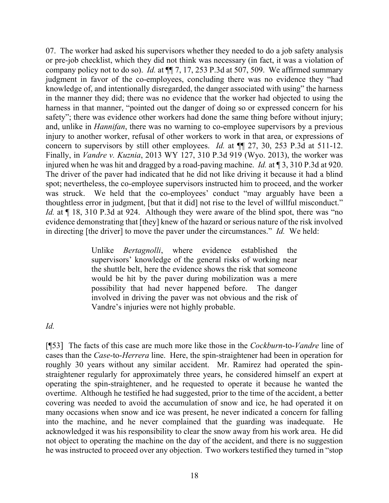07. The worker had asked his supervisors whether they needed to do a job safety analysis or pre-job checklist, which they did not think was necessary (in fact, it was a violation of company policy not to do so). *Id.* at ¶¶ 7, 17, 253 P.3d at 507, 509. We affirmed summary judgment in favor of the co-employees, concluding there was no evidence they "had knowledge of, and intentionally disregarded, the danger associated with using" the harness in the manner they did; there was no evidence that the worker had objected to using the harness in that manner, "pointed out the danger of doing so or expressed concern for his safety"; there was evidence other workers had done the same thing before without injury; and, unlike in *Hannifan*, there was no warning to co-employee supervisors by a previous injury to another worker, refusal of other workers to work in that area, or expressions of concern to supervisors by still other employees. *Id.* at  $\P$  27, 30, 253 P.3d at 511-12. Finally, in *Vandre v. Kuznia*, 2013 WY 127, 310 P.3d 919 (Wyo. 2013), the worker was injured when he was hit and dragged by a road-paving machine. *Id.* at ¶ 3, 310 P.3d at 920. The driver of the paver had indicated that he did not like driving it because it had a blind spot; nevertheless, the co-employee supervisors instructed him to proceed, and the worker was struck. We held that the co-employees' conduct "may arguably have been a thoughtless error in judgment, [but that it did] not rise to the level of willful misconduct." *Id.* at  $\P$  18, 310 P.3d at 924. Although they were aware of the blind spot, there was "no evidence demonstrating that [they] knew of the hazard or serious nature of the risk involved in directing [the driver] to move the paver under the circumstances." *Id.* We held:

> Unlike *Bertagnolli*, where evidence established the supervisors' knowledge of the general risks of working near the shuttle belt, here the evidence shows the risk that someone would be hit by the paver during mobilization was a mere possibility that had never happened before. The danger involved in driving the paver was not obvious and the risk of Vandre's injuries were not highly probable.

### *Id.*

[¶53] The facts of this case are much more like those in the *Cockburn*-to-*Vandre* line of cases than the *Case*-to-*Herrera* line. Here, the spin-straightener had been in operation for roughly 30 years without any similar accident. Mr. Ramirez had operated the spinstraightener regularly for approximately three years, he considered himself an expert at operating the spin-straightener, and he requested to operate it because he wanted the overtime. Although he testified he had suggested, prior to the time of the accident, a better covering was needed to avoid the accumulation of snow and ice, he had operated it on many occasions when snow and ice was present, he never indicated a concern for falling into the machine, and he never complained that the guarding was inadequate. He acknowledged it was his responsibility to clear the snow away from his work area. He did not object to operating the machine on the day of the accident, and there is no suggestion he was instructed to proceed over any objection. Two workers testified they turned in "stop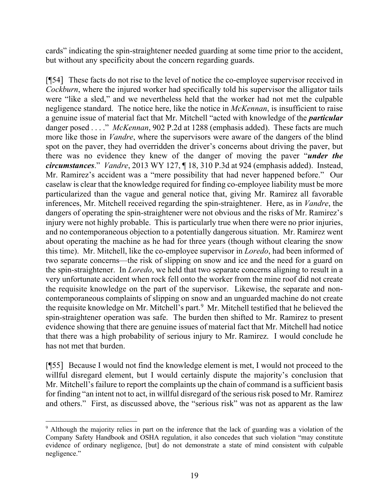cards" indicating the spin-straightener needed guarding at some time prior to the accident, but without any specificity about the concern regarding guards.

[¶54] These facts do not rise to the level of notice the co-employee supervisor received in *Cockburn*, where the injured worker had specifically told his supervisor the alligator tails were "like a sled," and we nevertheless held that the worker had not met the culpable negligence standard. The notice here, like the notice in *McKennan*, is insufficient to raise a genuine issue of material fact that Mr. Mitchell "acted with knowledge of the *particular* danger posed . . . ." *McKennan*, 902 P.2d at 1288 (emphasis added). These facts are much more like those in *Vandre*, where the supervisors were aware of the dangers of the blind spot on the paver, they had overridden the driver's concerns about driving the paver, but there was no evidence they knew of the danger of moving the paver "*under the circumstances*." *Vandre*, 2013 WY 127, ¶ 18, 310 P.3d at 924 (emphasis added). Instead, Mr. Ramirez's accident was a "mere possibility that had never happened before." Our caselaw is clear that the knowledge required for finding co-employee liability must be more particularized than the vague and general notice that, giving Mr. Ramirez all favorable inferences, Mr. Mitchell received regarding the spin-straightener. Here, as in *Vandre*, the dangers of operating the spin-straightener were not obvious and the risks of Mr. Ramirez's injury were not highly probable. This is particularly true when there were no prior injuries, and no contemporaneous objection to a potentially dangerous situation. Mr. Ramirez went about operating the machine as he had for three years (though without clearing the snow this time). Mr. Mitchell, like the co-employee supervisor in *Loredo*, had been informed of two separate concerns—the risk of slipping on snow and ice and the need for a guard on the spin-straightener. In *Loredo*, we held that two separate concerns aligning to result in a very unfortunate accident when rock fell onto the worker from the mine roof did not create the requisite knowledge on the part of the supervisor. Likewise, the separate and noncontemporaneous complaints of slipping on snow and an unguarded machine do not create the requisite knowledge on Mr. Mitchell's part.<sup>[9](#page-19-0)</sup> Mr. Mitchell testified that he believed the spin-straightener operation was safe. The burden then shifted to Mr. Ramirez to present evidence showing that there are genuine issues of material fact that Mr. Mitchell had notice that there was a high probability of serious injury to Mr. Ramirez. I would conclude he has not met that burden.

[¶55] Because I would not find the knowledge element is met, I would not proceed to the willful disregard element, but I would certainly dispute the majority's conclusion that Mr. Mitchell's failure to report the complaints up the chain of command is a sufficient basis for finding "an intent not to act, in willful disregard of the serious risk posed to Mr. Ramirez and others." First, as discussed above, the "serious risk" was not as apparent as the law

<span id="page-19-0"></span><sup>&</sup>lt;sup>9</sup> Although the majority relies in part on the inference that the lack of guarding was a violation of the Company Safety Handbook and OSHA regulation, it also concedes that such violation "may constitute evidence of ordinary negligence, [but] do not demonstrate a state of mind consistent with culpable negligence."